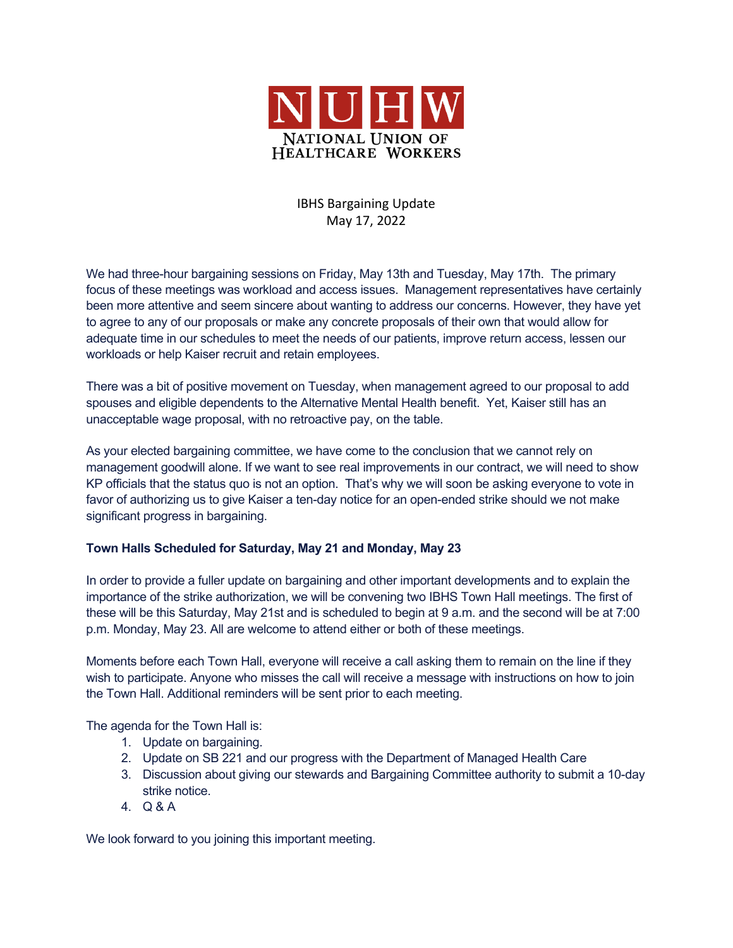

# IBHS Bargaining Update May 17, 2022

We had three-hour bargaining sessions on Friday, May 13th and Tuesday, May 17th. The primary focus of these meetings was workload and access issues. Management representatives have certainly been more attentive and seem sincere about wanting to address our concerns. However, they have yet to agree to any of our proposals or make any concrete proposals of their own that would allow for adequate time in our schedules to meet the needs of our patients, improve return access, lessen our workloads or help Kaiser recruit and retain employees.

There was a bit of positive movement on Tuesday, when management agreed to our proposal to add spouses and eligible dependents to the Alternative Mental Health benefit. Yet, Kaiser still has an unacceptable wage proposal, with no retroactive pay, on the table.

As your elected bargaining committee, we have come to the conclusion that we cannot rely on management goodwill alone. If we want to see real improvements in our contract, we will need to show KP officials that the status quo is not an option. That's why we will soon be asking everyone to vote in favor of authorizing us to give Kaiser a ten-day notice for an open-ended strike should we not make significant progress in bargaining.

## **Town Halls Scheduled for Saturday, May 21 and Monday, May 23**

In order to provide a fuller update on bargaining and other important developments and to explain the importance of the strike authorization, we will be convening two IBHS Town Hall meetings. The first of these will be this Saturday, May 21st and is scheduled to begin at 9 a.m. and the second will be at 7:00 p.m. Monday, May 23. All are welcome to attend either or both of these meetings.

Moments before each Town Hall, everyone will receive a call asking them to remain on the line if they wish to participate. Anyone who misses the call will receive a message with instructions on how to join the Town Hall. Additional reminders will be sent prior to each meeting.

The agenda for the Town Hall is:

- 1. Update on bargaining.
- 2. Update on SB 221 and our progress with the Department of Managed Health Care
- 3. Discussion about giving our stewards and Bargaining Committee authority to submit a 10-day strike notice.
- 4. Q & A

We look forward to you joining this important meeting.